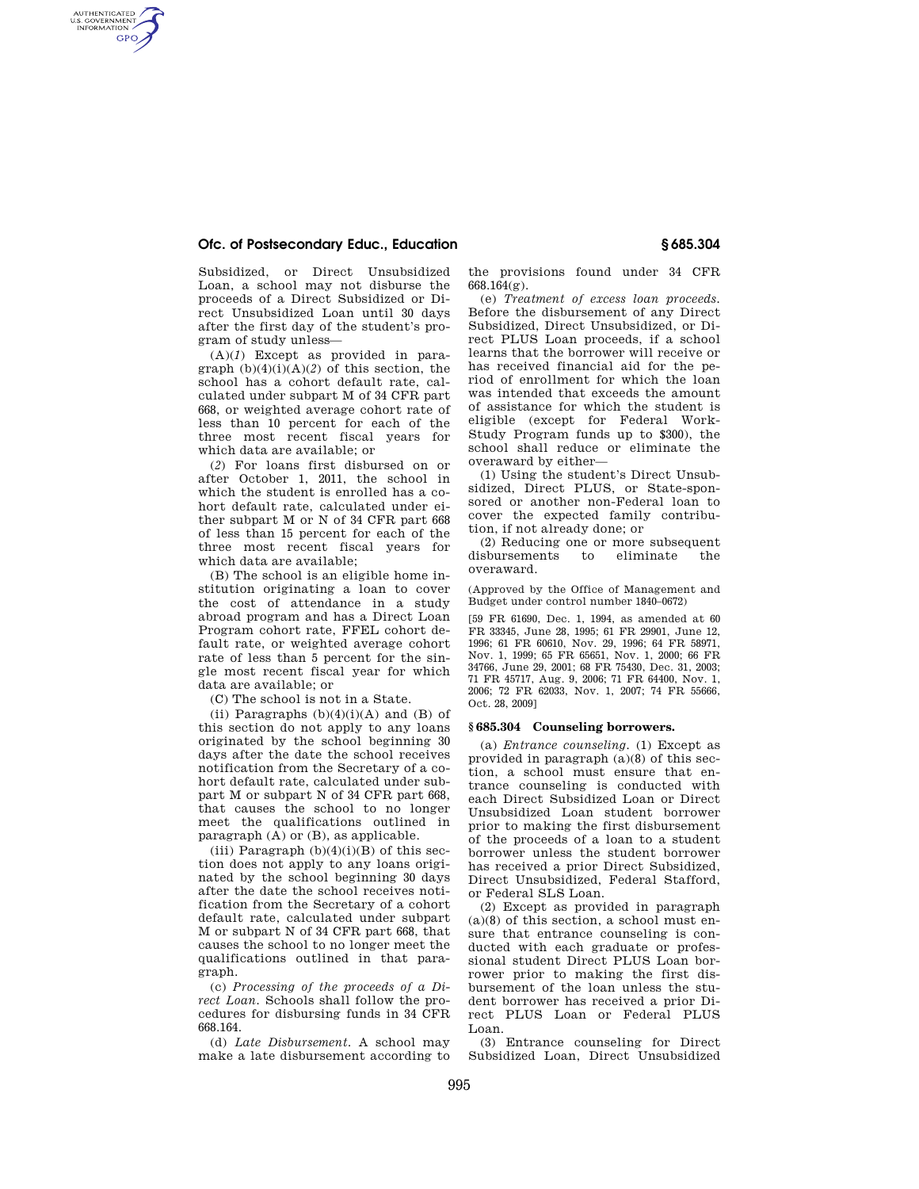## **Ofc. of Postsecondary Educ., Education § 685.304**

AUTHENTICATED<br>U.S. GOVERNMENT<br>INFORMATION **GPO** 

> Subsidized, or Direct Unsubsidized Loan, a school may not disburse the proceeds of a Direct Subsidized or Direct Unsubsidized Loan until 30 days after the first day of the student's program of study unless—

(A)(*1*) Except as provided in paragraph  $(b)(4)(i)(A)(2)$  of this section, the school has a cohort default rate, calculated under subpart M of 34 CFR part 668, or weighted average cohort rate of less than 10 percent for each of the three most recent fiscal years for which data are available; or

(*2*) For loans first disbursed on or after October 1, 2011, the school in which the student is enrolled has a cohort default rate, calculated under either subpart M or N of 34 CFR part 668 of less than 15 percent for each of the three most recent fiscal years for which data are available;

(B) The school is an eligible home institution originating a loan to cover the cost of attendance in a study abroad program and has a Direct Loan Program cohort rate, FFEL cohort default rate, or weighted average cohort rate of less than 5 percent for the single most recent fiscal year for which data are available; or

(C) The school is not in a State.

(ii) Paragraphs  $(b)(4)(i)(A)$  and  $(B)$  of this section do not apply to any loans originated by the school beginning 30 days after the date the school receives notification from the Secretary of a cohort default rate, calculated under subpart M or subpart N of 34 CFR part 668, that causes the school to no longer meet the qualifications outlined in paragraph (A) or (B), as applicable.

(iii) Paragraph  $(b)(4)(i)(B)$  of this section does not apply to any loans originated by the school beginning 30 days after the date the school receives notification from the Secretary of a cohort default rate, calculated under subpart M or subpart N of 34 CFR part 668, that causes the school to no longer meet the qualifications outlined in that paragraph.

(c) *Processing of the proceeds of a Direct Loan.* Schools shall follow the procedures for disbursing funds in 34 CFR 668.164.

(d) *Late Disbursement.* A school may make a late disbursement according to the provisions found under 34 CFR 668.164(g).

(e) *Treatment of excess loan proceeds.*  Before the disbursement of any Direct Subsidized, Direct Unsubsidized, or Direct PLUS Loan proceeds, if a school learns that the borrower will receive or has received financial aid for the period of enrollment for which the loan was intended that exceeds the amount of assistance for which the student is eligible (except for Federal Work-Study Program funds up to \$300), the school shall reduce or eliminate the overaward by either—

(1) Using the student's Direct Unsubsidized, Direct PLUS, or State-sponsored or another non-Federal loan to cover the expected family contribution, if not already done; or

(2) Reducing one or more subsequent disbursements to eliminate the overaward.

(Approved by the Office of Management and Budget under control number 1840–0672)

[59 FR 61690, Dec. 1, 1994, as amended at 60 FR 33345, June 28, 1995; 61 FR 29901, June 12, 1996; 61 FR 60610, Nov. 29, 1996; 64 FR 58971, Nov. 1, 1999; 65 FR 65651, Nov. 1, 2000; 66 FR 34766, June 29, 2001; 68 FR 75430, Dec. 31, 2003; 71 FR 45717, Aug. 9, 2006; 71 FR 64400, Nov. 1, 2006; 72 FR 62033, Nov. 1, 2007; 74 FR 55666, Oct. 28, 2009]

## **§ 685.304 Counseling borrowers.**

(a) *Entrance counseling.* (1) Except as provided in paragraph (a)(8) of this section, a school must ensure that entrance counseling is conducted with each Direct Subsidized Loan or Direct Unsubsidized Loan student borrower prior to making the first disbursement of the proceeds of a loan to a student borrower unless the student borrower has received a prior Direct Subsidized, Direct Unsubsidized, Federal Stafford, or Federal SLS Loan.

(2) Except as provided in paragraph (a)(8) of this section, a school must ensure that entrance counseling is conducted with each graduate or professional student Direct PLUS Loan borrower prior to making the first disbursement of the loan unless the student borrower has received a prior Direct PLUS Loan or Federal PLUS Loan.

(3) Entrance counseling for Direct Subsidized Loan, Direct Unsubsidized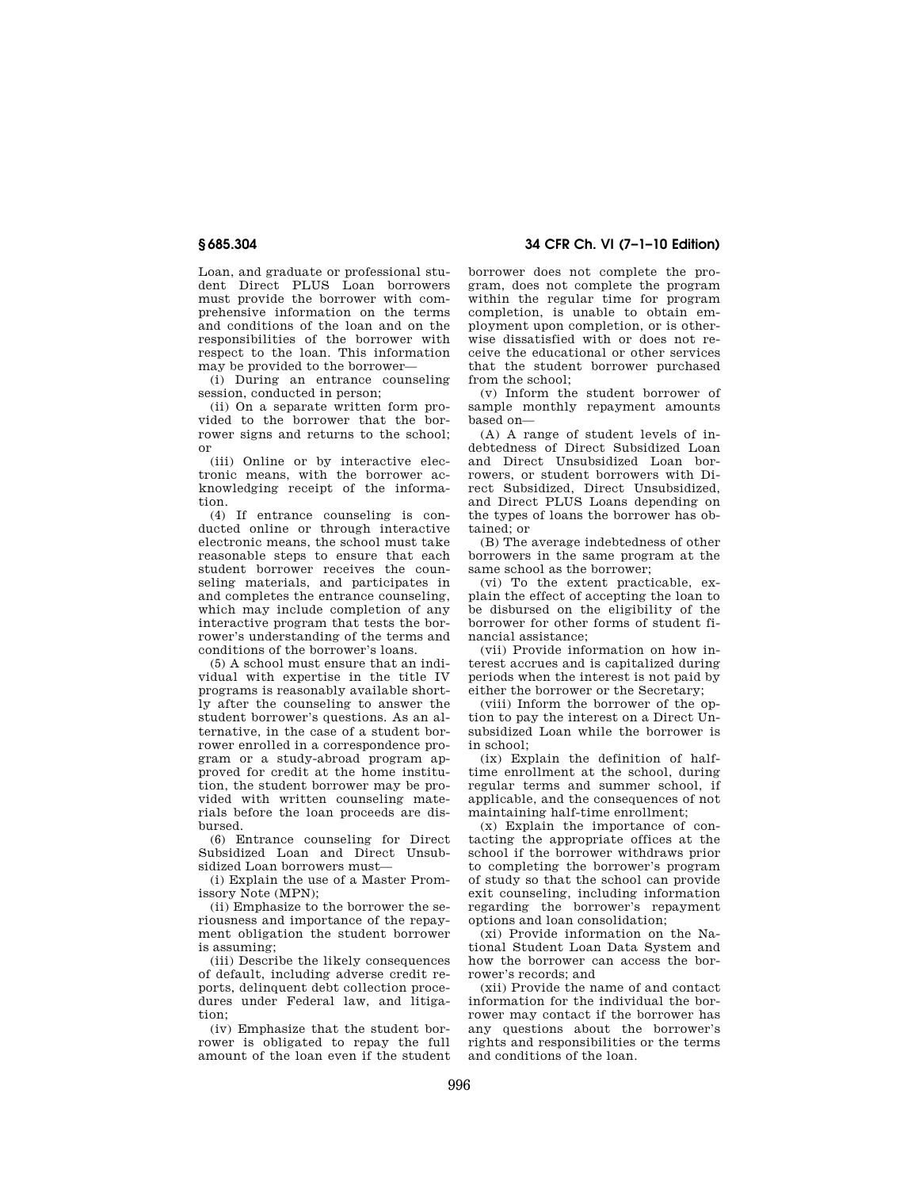Loan, and graduate or professional student Direct PLUS Loan borrowers must provide the borrower with comprehensive information on the terms and conditions of the loan and on the responsibilities of the borrower with respect to the loan. This information may be provided to the borrower—

(i) During an entrance counseling session, conducted in person;

(ii) On a separate written form provided to the borrower that the borrower signs and returns to the school; or

(iii) Online or by interactive electronic means, with the borrower acknowledging receipt of the information.

(4) If entrance counseling is conducted online or through interactive electronic means, the school must take reasonable steps to ensure that each student borrower receives the counseling materials, and participates in and completes the entrance counseling, which may include completion of any interactive program that tests the borrower's understanding of the terms and conditions of the borrower's loans.

(5) A school must ensure that an individual with expertise in the title IV programs is reasonably available shortly after the counseling to answer the student borrower's questions. As an alternative, in the case of a student borrower enrolled in a correspondence program or a study-abroad program approved for credit at the home institution, the student borrower may be provided with written counseling materials before the loan proceeds are disbursed.

(6) Entrance counseling for Direct Subsidized Loan and Direct Unsubsidized Loan borrowers must—

(i) Explain the use of a Master Promissory Note (MPN);

(ii) Emphasize to the borrower the seriousness and importance of the repayment obligation the student borrower is assuming;

(iii) Describe the likely consequences of default, including adverse credit reports, delinquent debt collection procedures under Federal law, and litigation;

(iv) Emphasize that the student borrower is obligated to repay the full amount of the loan even if the student

**§ 685.304 34 CFR Ch. VI (7–1–10 Edition)** 

borrower does not complete the program, does not complete the program within the regular time for program completion, is unable to obtain employment upon completion, or is otherwise dissatisfied with or does not receive the educational or other services that the student borrower purchased from the school;

(v) Inform the student borrower of sample monthly repayment amounts based on—

(A) A range of student levels of indebtedness of Direct Subsidized Loan and Direct Unsubsidized Loan borrowers, or student borrowers with Direct Subsidized, Direct Unsubsidized, and Direct PLUS Loans depending on the types of loans the borrower has obtained; or

(B) The average indebtedness of other borrowers in the same program at the same school as the borrower;

(vi) To the extent practicable, explain the effect of accepting the loan to be disbursed on the eligibility of the borrower for other forms of student financial assistance;

(vii) Provide information on how interest accrues and is capitalized during periods when the interest is not paid by either the borrower or the Secretary;

(viii) Inform the borrower of the option to pay the interest on a Direct Unsubsidized Loan while the borrower is in school;

(ix) Explain the definition of halftime enrollment at the school, during regular terms and summer school, if applicable, and the consequences of not maintaining half-time enrollment;

(x) Explain the importance of contacting the appropriate offices at the school if the borrower withdraws prior to completing the borrower's program of study so that the school can provide exit counseling, including information regarding the borrower's repayment options and loan consolidation;

(xi) Provide information on the National Student Loan Data System and how the borrower can access the borrower's records; and

(xii) Provide the name of and contact information for the individual the borrower may contact if the borrower has any questions about the borrower's rights and responsibilities or the terms and conditions of the loan.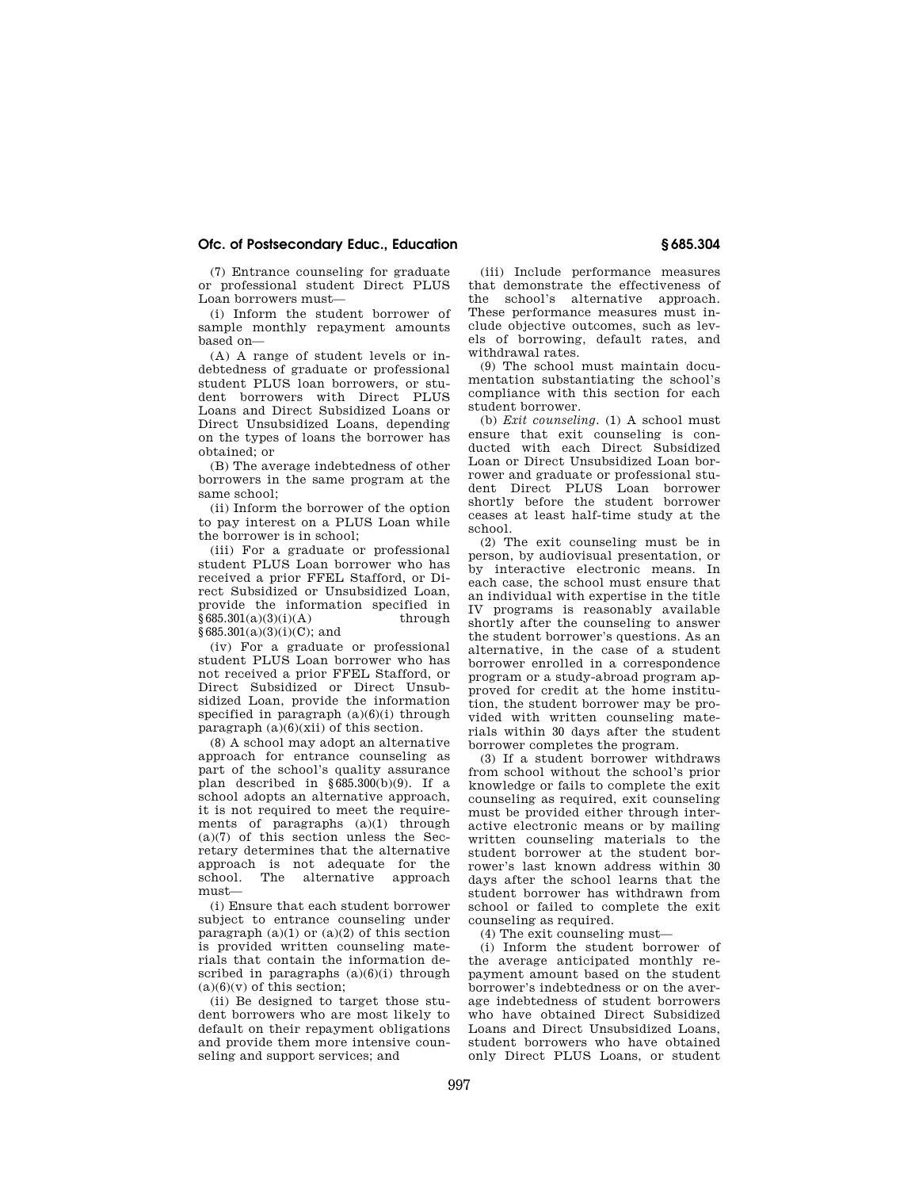## **Ofc. of Postsecondary Educ., Education § 685.304**

(7) Entrance counseling for graduate or professional student Direct PLUS Loan borrowers must—

(i) Inform the student borrower of sample monthly repayment amounts based on—

(A) A range of student levels or indebtedness of graduate or professional student PLUS loan borrowers, or student borrowers with Direct PLUS Loans and Direct Subsidized Loans or Direct Unsubsidized Loans, depending on the types of loans the borrower has obtained; or

(B) The average indebtedness of other borrowers in the same program at the same school:

(ii) Inform the borrower of the option to pay interest on a PLUS Loan while the borrower is in school;

(iii) For a graduate or professional student PLUS Loan borrower who has received a prior FFEL Stafford, or Direct Subsidized or Unsubsidized Loan, provide the information specified in  $§685.301(a)(3)(i)(A)$  through §685.301(a)(3)(i)(C); and

(iv) For a graduate or professional student PLUS Loan borrower who has not received a prior FFEL Stafford, or Direct Subsidized or Direct Unsubsidized Loan, provide the information specified in paragraph  $(a)(6)(i)$  through paragraph  $(a)(6)(xii)$  of this section.

(8) A school may adopt an alternative approach for entrance counseling as part of the school's quality assurance plan described in  $\frac{685.300(b)(9)}{b}$ . If a school adopts an alternative approach, it is not required to meet the requirements of paragraphs (a)(1) through (a)(7) of this section unless the Secretary determines that the alternative approach is not adequate for the school. The alternative approach must—

(i) Ensure that each student borrower subject to entrance counseling under paragraph  $(a)(1)$  or  $(a)(2)$  of this section is provided written counseling materials that contain the information described in paragraphs  $(a)(6)(i)$  through  $(a)(6)(v)$  of this section;

(ii) Be designed to target those student borrowers who are most likely to default on their repayment obligations and provide them more intensive counseling and support services; and

(iii) Include performance measures that demonstrate the effectiveness of the school's alternative approach. These performance measures must include objective outcomes, such as levels of borrowing, default rates, and withdrawal rates.

(9) The school must maintain documentation substantiating the school's compliance with this section for each student borrower.

(b) *Exit counseling.* (1) A school must ensure that exit counseling is conducted with each Direct Subsidized Loan or Direct Unsubsidized Loan borrower and graduate or professional student Direct PLUS Loan borrower shortly before the student borrower ceases at least half-time study at the school.

(2) The exit counseling must be in person, by audiovisual presentation, or by interactive electronic means. In each case, the school must ensure that an individual with expertise in the title IV programs is reasonably available shortly after the counseling to answer the student borrower's questions. As an alternative, in the case of a student borrower enrolled in a correspondence program or a study-abroad program approved for credit at the home institution, the student borrower may be provided with written counseling materials within 30 days after the student borrower completes the program.

(3) If a student borrower withdraws from school without the school's prior knowledge or fails to complete the exit counseling as required, exit counseling must be provided either through interactive electronic means or by mailing written counseling materials to the student borrower at the student borrower's last known address within 30 days after the school learns that the student borrower has withdrawn from school or failed to complete the exit counseling as required.

(4) The exit counseling must—

(i) Inform the student borrower of the average anticipated monthly repayment amount based on the student borrower's indebtedness or on the average indebtedness of student borrowers who have obtained Direct Subsidized Loans and Direct Unsubsidized Loans, student borrowers who have obtained only Direct PLUS Loans, or student